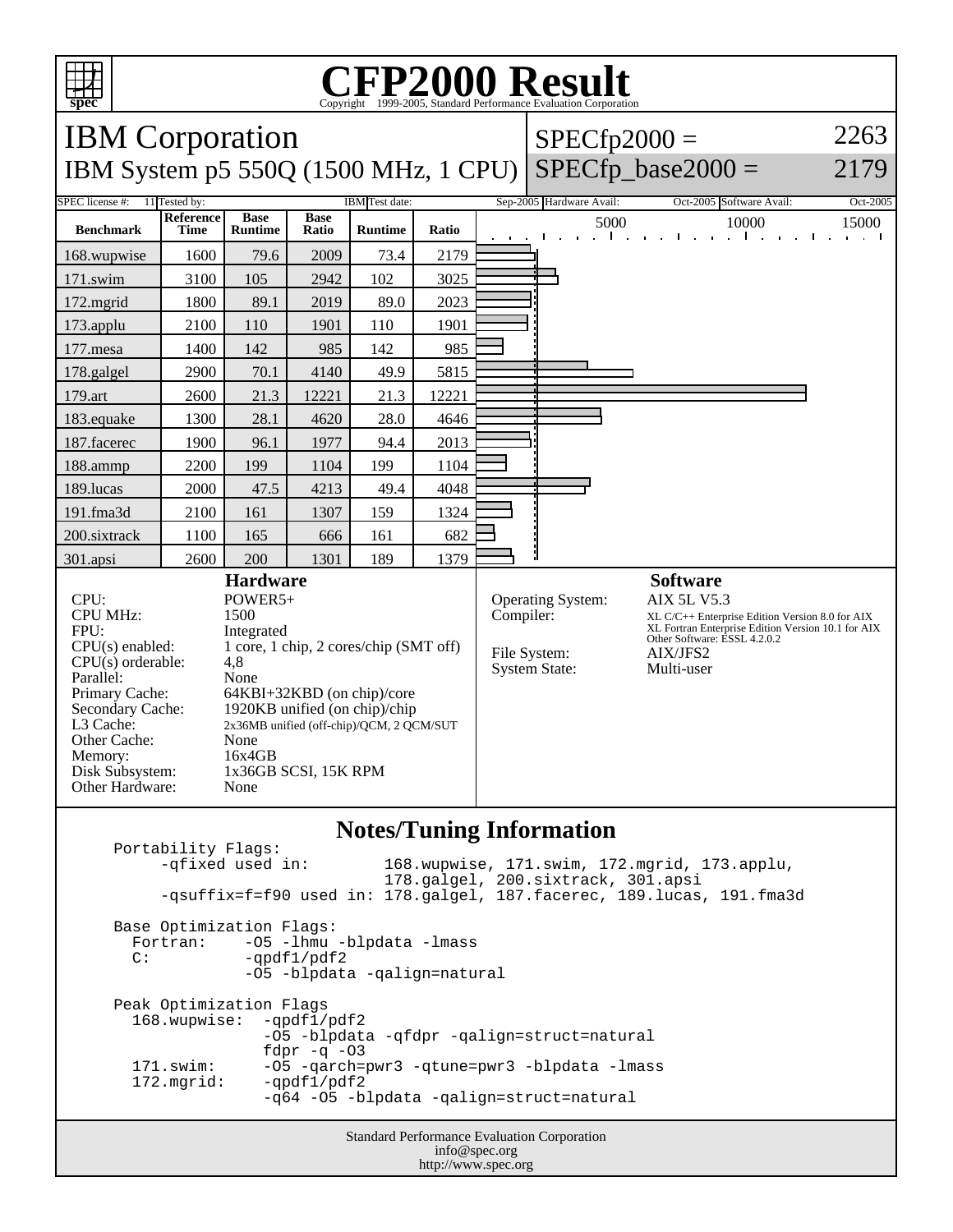

## C<sub>opyright</sub> ©1999-2005, Standard Performance Evaluation Corporation

| <b>IBM</b> Corporation<br>IBM System p5 550Q (1500 MHz, 1 CPU)                                                                                                                                                                                                                                                                                                                                                                                                                         |                          |                               |                      |                |           |                                                                  | $SPECfp2000 =$<br>$SPECfp\_base2000 =$                                                                                                                                                                   |                          | 2263<br>2179 |
|----------------------------------------------------------------------------------------------------------------------------------------------------------------------------------------------------------------------------------------------------------------------------------------------------------------------------------------------------------------------------------------------------------------------------------------------------------------------------------------|--------------------------|-------------------------------|----------------------|----------------|-----------|------------------------------------------------------------------|----------------------------------------------------------------------------------------------------------------------------------------------------------------------------------------------------------|--------------------------|--------------|
| SPEC license #:<br>11 Tested by:<br><b>IBM</b> Test date:                                                                                                                                                                                                                                                                                                                                                                                                                              |                          |                               |                      |                |           |                                                                  | Sep-2005 Hardware Avail:                                                                                                                                                                                 | Oct-2005 Software Avail: | Oct-2005     |
| <b>Benchmark</b>                                                                                                                                                                                                                                                                                                                                                                                                                                                                       | <b>Reference</b><br>Time | <b>Base</b><br><b>Runtime</b> | <b>Base</b><br>Ratio | <b>Runtime</b> | Ratio     |                                                                  | 5000                                                                                                                                                                                                     | 10000                    | 15000        |
| 168.wupwise                                                                                                                                                                                                                                                                                                                                                                                                                                                                            | 1600                     | 79.6                          | 2009                 | 73.4           | 2179      |                                                                  |                                                                                                                                                                                                          |                          |              |
| 171.swim                                                                                                                                                                                                                                                                                                                                                                                                                                                                               | 3100                     | 105                           | 2942                 | 102            | 3025      |                                                                  |                                                                                                                                                                                                          |                          |              |
| 172.mgrid                                                                                                                                                                                                                                                                                                                                                                                                                                                                              | 1800                     | 89.1                          | 2019                 | 89.0           | 2023      |                                                                  |                                                                                                                                                                                                          |                          |              |
| 173.applu                                                                                                                                                                                                                                                                                                                                                                                                                                                                              | 2100                     | 110                           | 1901                 | 110            | 1901      |                                                                  |                                                                                                                                                                                                          |                          |              |
| 177.mesa                                                                                                                                                                                                                                                                                                                                                                                                                                                                               | 1400                     | 142                           | 985                  | 142            | 985       |                                                                  |                                                                                                                                                                                                          |                          |              |
| 178.galgel                                                                                                                                                                                                                                                                                                                                                                                                                                                                             | 2900                     | 70.1                          | 4140                 | 49.9           | 5815      |                                                                  |                                                                                                                                                                                                          |                          |              |
| 179.art                                                                                                                                                                                                                                                                                                                                                                                                                                                                                | 2600                     | 21.3                          | 12221                | 21.3           | 12221     |                                                                  |                                                                                                                                                                                                          |                          |              |
| 183.equake                                                                                                                                                                                                                                                                                                                                                                                                                                                                             | 1300                     | 28.1                          | 4620                 | 28.0           | 4646      |                                                                  |                                                                                                                                                                                                          |                          |              |
| 187.facerec                                                                                                                                                                                                                                                                                                                                                                                                                                                                            | 1900                     | 96.1                          | 1977                 | 94.4           | 2013      |                                                                  |                                                                                                                                                                                                          |                          |              |
| 188.ammp                                                                                                                                                                                                                                                                                                                                                                                                                                                                               | 2200                     | 199                           | 1104                 | 199            | 1104      |                                                                  |                                                                                                                                                                                                          |                          |              |
| 189.lucas                                                                                                                                                                                                                                                                                                                                                                                                                                                                              | 2000                     | 47.5                          | 4213                 | 49.4           | 4048      |                                                                  |                                                                                                                                                                                                          |                          |              |
| 191.fma3d                                                                                                                                                                                                                                                                                                                                                                                                                                                                              | 2100                     | 161                           | 1307                 | 159            | 1324      |                                                                  |                                                                                                                                                                                                          |                          |              |
| 200.sixtrack                                                                                                                                                                                                                                                                                                                                                                                                                                                                           | 1100                     | 165                           | 666                  | 161            | 682       |                                                                  |                                                                                                                                                                                                          |                          |              |
| 301.apsi                                                                                                                                                                                                                                                                                                                                                                                                                                                                               | 2600                     | 200                           | 1301                 | 189            | 1379      |                                                                  |                                                                                                                                                                                                          |                          |              |
| <b>Hardware</b><br>CPU:<br>POWER5+<br><b>CPU MHz:</b><br>1500<br>FPU:<br>Integrated<br>1 core, 1 chip, 2 cores/chip (SMT off)<br>$CPU(s)$ enabled:<br>$CPU(s)$ orderable:<br>4,8<br>Parallel:<br>None<br>Primary Cache:<br>64KBI+32KBD (on chip)/core<br>1920KB unified (on chip)/chip<br>Secondary Cache:<br>L3 Cache:<br>2x36MB unified (off-chip)/QCM, 2 QCM/SUT<br>Other Cache:<br>None<br>16x4GB<br>Memory:<br>Disk Subsystem:<br>1x36GB SCSI, 15K RPM<br>Other Hardware:<br>None |                          |                               |                      |                | Compiler: | <b>Operating System:</b><br>File System:<br><b>System State:</b> | <b>Software</b><br><b>AIX 5L V5.3</b><br>XL C/C++ Enterprise Edition Version 8.0 for AIX<br>XL Fortran Enterprise Edition Version 10.1 for AIX<br>Other Software: ESSL 4.2.0.2<br>AIX/JFS2<br>Multi-user |                          |              |

## **Notes/Tuning Information**

Standard Performance Evaluation Corporation info@spec.org http://www.spec.org Portability Flags:<br>-qfixed used in: 168.wupwise, 171.swim, 172.mgrid, 173.applu, 178.galgel, 200.sixtrack, 301.apsi -qsuffix=f=f90 used in: 178.galgel, 187.facerec, 189.lucas, 191.fma3d Base Optimization Flags: Fortran: -05 -1hmu -blpdata -1mass<br>C: -ordf1/pdf2  $-qpdf1/pdf2$  -O5 -blpdata -qalign=natural Peak Optimization Flags 168.wupwise: -qpdf1/pdf2 -O5 -blpdata -qfdpr -qalign=struct=natural fdpr -q -03<br>171.swim: -05 -qarch= -O5 -qarch=pwr3 -qtune=pwr3 -blpdata -lmass 172.mgrid: -qpdf1/pdf2 -q64 -O5 -blpdata -qalign=struct=natural